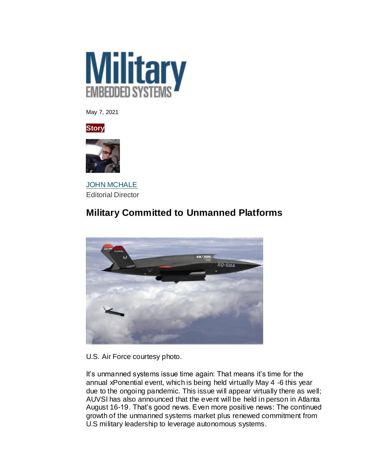

May 7, 2021





**[JOHN MCHALE](https://militaryembedded.com/authors/john-mchale)** Editorial Director

## **Military Committed to Unmanned Platforms**



U.S. Air Force courtesy photo.

It's unmanned systems issue time again: That means it's time for the annual xPonential event, which is being held virtually May 4 -6 this year due to the ongoing pandemic. This issue will appear virtually there as well; AUVSI has also announced that the event will be held in person in Atlanta August 16-19. That's good news. Even more positive news: The continued growth of the unmanned systems market plus renewed commitment from U.S military leadership to leverage autonomous systems.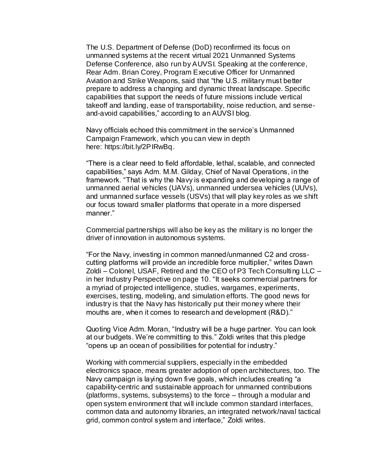The U.S. Department of Defense (DoD) reconfirmed its focus on unmanned systems at the recent virtual 2021 Unmanned Systems Defense Conference, also run by AUVSI. Speaking at the conference, Rear Adm. Brian Corey, Program Executive Officer for Unmanned Aviation and Strike Weapons, said that "the U.S. military must better prepare to address a changing and dynamic threat landscape. Specific capabilities that support the needs of future missions include vertical takeoff and landing, ease of transportability, noise reduction, and senseand-avoid capabilities," according to an AUVSI blog.

Navy officials echoed this commitment in the service's Unmanned Campaign Framework, which you can view in depth here: [https://bit.ly/2PIRwBq.](https://bit.ly/2PIRwBq)

"There is a clear need to field affordable, lethal, scalable, and connected capabilities," says Adm. M.M. Gilday, Chief of Naval Operations, in the framework. "That is why the Navy is expanding and developing a range of unmanned aerial vehicles (UAVs), unmanned undersea vehicles (UUVs), and unmanned surface vessels (USVs) that will play key roles as we shift our focus toward smaller platforms that operate in a more dispersed manner."

Commercial partnerships will also be key as the military is no longer the driver of innovation in autonomous systems.

"For the Navy, investing in common manned/unmanned C2 and crosscutting platforms will provide an incredible force multiplier," writes Dawn Zoldi – Colonel, USAF, Retired and the CEO of P3 Tech Consulting LLC – in her Industry Perspective on page 10. "It seeks commercial partners for a myriad of projected intelligence, studies, wargames, experiments, exercises, testing, modeling, and simulation efforts. The good news for industry is that the Navy has historically put their money where their mouths are, when it comes to research and development (R&D)."

Quoting Vice Adm. Moran, "Industry will be a huge partner. You can look at our budgets. We're committing to this." Zoldi writes that this pledge "opens up an ocean of possibilities for potential for industry."

Working with commercial suppliers, especially in the embedded electronics space, means greater adoption of open architectures, too. The Navy campaign is laying down five goals, which includes creating "a capability-centric and sustainable approach for unmanned contributions (platforms, systems, subsystems) to the force – through a modular and open system environment that will include common standard interfaces, common data and autonomy libraries, an integrated network/naval tactical grid, common control system and interface," Zoldi writes.